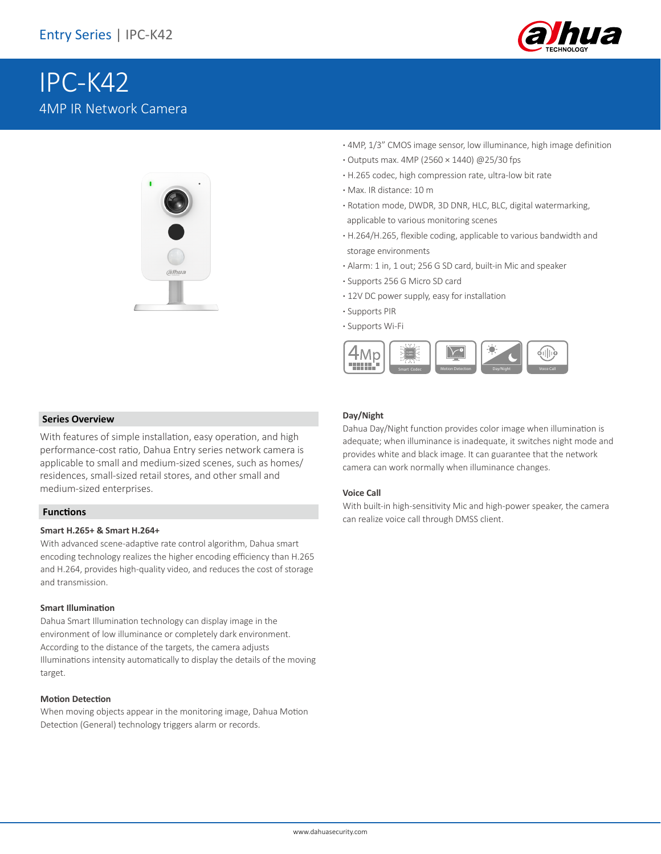

# IPC-K42 4MP IR Network Camera



- **·** 4MP, 1/3" CMOS image sensor, low illuminance, high image definition
- **·** Outputs max. 4MP (2560 × 1440) @25/30 fps
- **·** H.265 codec, high compression rate, ultra-low bit rate
- **·** Max. IR distance: 10 m
- **·** Rotation mode, DWDR, 3D DNR, HLC, BLC, digital watermarking, applicable to various monitoring scenes
- **·** H.264/H.265, flexible coding, applicable to various bandwidth and storage environments
- **·** Alarm: 1 in, 1 out; 256 G SD card, built-in Mic and speaker
- **·** Supports 256 G Micro SD card
- **·** 12V DC power supply, easy for installation
- **·** Supports PIR
- **·** Supports Wi-Fi



#### **Series Overview**

With features of simple installation, easy operation, and high performance-cost ratio, Dahua Entry series network camera is applicable to small and medium-sized scenes, such as homes/ residences, small-sized retail stores, and other small and medium-sized enterprises.

#### **Functions**

#### **Smart H.265+ & Smart H.264+**

With advanced scene-adaptive rate control algorithm, Dahua smart encoding technology realizes the higher encoding efficiency than H.265 and H.264, provides high-quality video, and reduces the cost of storage and transmission.

#### **Smart Illumination**

Dahua Smart Illumination technology can display image in the environment of low illuminance or completely dark environment. According to the distance of the targets, the camera adjusts Illuminations intensity automatically to display the details of the moving target.

#### **Motion Detection**

When moving objects appear in the monitoring image, Dahua Motion Detection (General) technology triggers alarm or records.

#### **Day/Night**

Dahua Day/Night function provides color image when illumination is adequate; when illuminance is inadequate, it switches night mode and provides white and black image. It can guarantee that the network camera can work normally when illuminance changes.

#### **Voice Call**

With built-in high-sensitivity Mic and high-power speaker, the camera can realize voice call through DMSS client.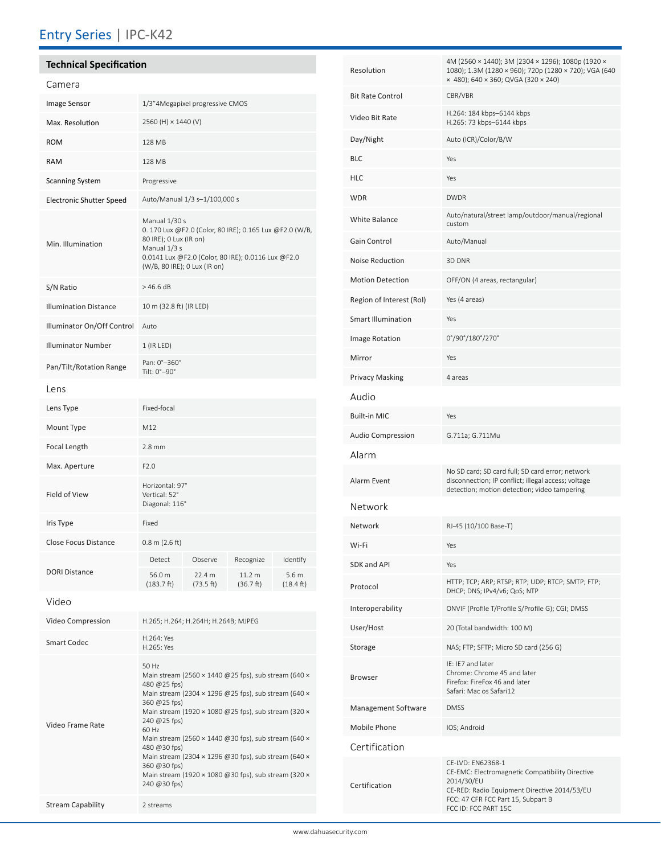## Entry Series | IPC-K42

# **Technical Specification**

| Image Sensor<br>1/3"4Megapixel progressive CMOS<br>Max. Resolution<br>2560 (H) × 1440 (V)<br><b>ROM</b><br>128 MB<br>RAM<br>128 MB<br><b>Scanning System</b><br>Progressive<br>Auto/Manual 1/3 s-1/100,000 s<br><b>Electronic Shutter Speed</b><br>Manual 1/30 s<br>0. 170 Lux @F2.0 (Color, 80 IRE); 0.165 Lux @F2.0 (W/B,<br>80 IRE); 0 Lux (IR on)<br>Min. Illumination<br>Manual 1/3 s<br>0.0141 Lux @F2.0 (Color, 80 IRE); 0.0116 Lux @F2.0<br>(W/B, 80 IRE); 0 Lux (IR on)<br>$>46.6$ dB<br>S/N Ratio<br><b>Illumination Distance</b><br>10 m (32.8 ft) (IR LED)<br>Illuminator On/Off Control<br>Auto<br><b>Illuminator Number</b><br>1 (IR LED)<br>Pan: 0°-360°<br>Pan/Tilt/Rotation Range<br>Tilt: 0°-90°<br>Lens<br>Fixed-focal<br>Lens Type | Camera |  |  |  |  |
|--------------------------------------------------------------------------------------------------------------------------------------------------------------------------------------------------------------------------------------------------------------------------------------------------------------------------------------------------------------------------------------------------------------------------------------------------------------------------------------------------------------------------------------------------------------------------------------------------------------------------------------------------------------------------------------------------------------------------------------------------------|--------|--|--|--|--|
|                                                                                                                                                                                                                                                                                                                                                                                                                                                                                                                                                                                                                                                                                                                                                        |        |  |  |  |  |
|                                                                                                                                                                                                                                                                                                                                                                                                                                                                                                                                                                                                                                                                                                                                                        |        |  |  |  |  |
|                                                                                                                                                                                                                                                                                                                                                                                                                                                                                                                                                                                                                                                                                                                                                        |        |  |  |  |  |
|                                                                                                                                                                                                                                                                                                                                                                                                                                                                                                                                                                                                                                                                                                                                                        |        |  |  |  |  |
|                                                                                                                                                                                                                                                                                                                                                                                                                                                                                                                                                                                                                                                                                                                                                        |        |  |  |  |  |
|                                                                                                                                                                                                                                                                                                                                                                                                                                                                                                                                                                                                                                                                                                                                                        |        |  |  |  |  |
|                                                                                                                                                                                                                                                                                                                                                                                                                                                                                                                                                                                                                                                                                                                                                        |        |  |  |  |  |
|                                                                                                                                                                                                                                                                                                                                                                                                                                                                                                                                                                                                                                                                                                                                                        |        |  |  |  |  |
|                                                                                                                                                                                                                                                                                                                                                                                                                                                                                                                                                                                                                                                                                                                                                        |        |  |  |  |  |
|                                                                                                                                                                                                                                                                                                                                                                                                                                                                                                                                                                                                                                                                                                                                                        |        |  |  |  |  |
|                                                                                                                                                                                                                                                                                                                                                                                                                                                                                                                                                                                                                                                                                                                                                        |        |  |  |  |  |
|                                                                                                                                                                                                                                                                                                                                                                                                                                                                                                                                                                                                                                                                                                                                                        |        |  |  |  |  |
|                                                                                                                                                                                                                                                                                                                                                                                                                                                                                                                                                                                                                                                                                                                                                        |        |  |  |  |  |
|                                                                                                                                                                                                                                                                                                                                                                                                                                                                                                                                                                                                                                                                                                                                                        |        |  |  |  |  |
| Mount Type<br>M12                                                                                                                                                                                                                                                                                                                                                                                                                                                                                                                                                                                                                                                                                                                                      |        |  |  |  |  |
| Focal Length<br>$2.8$ mm                                                                                                                                                                                                                                                                                                                                                                                                                                                                                                                                                                                                                                                                                                                               |        |  |  |  |  |
| F2.0<br>Max. Aperture                                                                                                                                                                                                                                                                                                                                                                                                                                                                                                                                                                                                                                                                                                                                  |        |  |  |  |  |
| Horizontal: 97°<br>Field of View<br>Vertical: 52°<br>Diagonal: 116°                                                                                                                                                                                                                                                                                                                                                                                                                                                                                                                                                                                                                                                                                    |        |  |  |  |  |
| Fixed<br>Iris Type                                                                                                                                                                                                                                                                                                                                                                                                                                                                                                                                                                                                                                                                                                                                     |        |  |  |  |  |
| <b>Close Focus Distance</b><br>$0.8$ m $(2.6$ ft)                                                                                                                                                                                                                                                                                                                                                                                                                                                                                                                                                                                                                                                                                                      |        |  |  |  |  |
| Detect<br>Observe<br>Recognize<br>Identify<br><b>DORI Distance</b><br>56.0 m<br>22.4 m<br>11.2 m<br>5.6 <sub>m</sub><br>(73.5 ft)<br>(36.7 ft)<br>(18.4 ft)<br>(183.7 ft)                                                                                                                                                                                                                                                                                                                                                                                                                                                                                                                                                                              |        |  |  |  |  |
| Video                                                                                                                                                                                                                                                                                                                                                                                                                                                                                                                                                                                                                                                                                                                                                  |        |  |  |  |  |

| Video Compression        | H.265; H.264; H.264H; H.264B; MJPEG                                                                                                                                                                                                                                                                                                                                                                                                                                                                                             |
|--------------------------|---------------------------------------------------------------------------------------------------------------------------------------------------------------------------------------------------------------------------------------------------------------------------------------------------------------------------------------------------------------------------------------------------------------------------------------------------------------------------------------------------------------------------------|
| <b>Smart Codec</b>       | H.264: Yes<br>H.265: Yes                                                                                                                                                                                                                                                                                                                                                                                                                                                                                                        |
| Video Frame Rate         | 50 Hz<br>Main stream (2560 $\times$ 1440 @ 25 fps), sub stream (640 $\times$<br>480 @ $25$ fps)<br>Main stream (2304 $\times$ 1296 @ 25 fps), sub stream (640 $\times$<br>360 @ 25 fps)<br>Main stream (1920 x 1080 @25 fps), sub stream (320 x<br>240 @ 25 fps)<br>60 Hz<br>Main stream (2560 $\times$ 1440 @30 fps), sub stream (640 $\times$<br>480 @30 fps)<br>Main stream (2304 $\times$ 1296 @30 fps), sub stream (640 $\times$<br>360 @ 30 fps)<br>Main stream (1920 × 1080 @30 fps), sub stream (320 ×<br>240 @ 30 fps) |
| <b>Stream Capability</b> | 2 streams                                                                                                                                                                                                                                                                                                                                                                                                                                                                                                                       |

| Resolution                | 4M (2560 × 1440); 3M (2304 × 1296); 1080p (1920 ×<br>1080); 1.3M (1280 × 960); 720p (1280 × 720); VGA (640<br>x 480); 640 x 360; QVGA (320 x 240)                                                |  |
|---------------------------|--------------------------------------------------------------------------------------------------------------------------------------------------------------------------------------------------|--|
| <b>Bit Rate Control</b>   | CBR/VBR                                                                                                                                                                                          |  |
| Video Bit Rate            | H.264: 184 kbps-6144 kbps<br>H.265: 73 kbps-6144 kbps                                                                                                                                            |  |
| Day/Night                 | Auto (ICR)/Color/B/W                                                                                                                                                                             |  |
| BLC                       | Yes                                                                                                                                                                                              |  |
| HLC                       | Yes                                                                                                                                                                                              |  |
| WDR                       | <b>DWDR</b>                                                                                                                                                                                      |  |
| White Balance             | Auto/natural/street lamp/outdoor/manual/regional<br>custom                                                                                                                                       |  |
| Gain Control              | Auto/Manual                                                                                                                                                                                      |  |
| Noise Reduction           | 3D DNR                                                                                                                                                                                           |  |
| <b>Motion Detection</b>   | OFF/ON (4 areas, rectangular)                                                                                                                                                                    |  |
| Region of Interest (RoI)  | Yes (4 areas)                                                                                                                                                                                    |  |
| <b>Smart Illumination</b> | Yes                                                                                                                                                                                              |  |
| <b>Image Rotation</b>     | 0°/90°/180°/270°                                                                                                                                                                                 |  |
| Mirror                    | Yes                                                                                                                                                                                              |  |
| Privacy Masking           | 4 areas                                                                                                                                                                                          |  |
| Audio                     |                                                                                                                                                                                                  |  |
| Built-in MIC              | Yes                                                                                                                                                                                              |  |
| Audio Compression         | G.711a; G.711Mu                                                                                                                                                                                  |  |
| Alarm                     |                                                                                                                                                                                                  |  |
| Alarm Event               | No SD card; SD card full; SD card error; network<br>disconnection; IP conflict; illegal access; voltage<br>detection; motion detection; video tampering                                          |  |
| Network                   |                                                                                                                                                                                                  |  |
| Network                   | RJ-45 (10/100 Base-T)                                                                                                                                                                            |  |
| Wi-Fi                     | Yes                                                                                                                                                                                              |  |
| <b>SDK and API</b>        | Yes                                                                                                                                                                                              |  |
| Protocol                  | HTTP; TCP; ARP; RTSP; RTP; UDP; RTCP; SMTP; FTP;<br>DHCP; DNS; IPv4/v6; QoS; NTP                                                                                                                 |  |
| Interoperability          | ONVIF (Profile T/Profile S/Profile G); CGI; DMSS                                                                                                                                                 |  |
| User/Host                 | 20 (Total bandwidth: 100 M)                                                                                                                                                                      |  |
| Storage                   | NAS; FTP; SFTP; Micro SD card (256 G)                                                                                                                                                            |  |
| Browser                   | IF: IF7 and later<br>Chrome: Chrome 45 and later<br>Firefox: FireFox 46 and later<br>Safari: Mac os Safari12                                                                                     |  |
| Management Software       | <b>DMSS</b>                                                                                                                                                                                      |  |
| Mobile Phone              | IOS; Android                                                                                                                                                                                     |  |
| Certification             |                                                                                                                                                                                                  |  |
| Certification             | CE-LVD: EN62368-1<br>CE-EMC: Electromagnetic Compatibility Directive<br>2014/30/EU<br>CE-RED: Radio Equipment Directive 2014/53/EU<br>FCC: 47 CFR FCC Part 15, Subpart B<br>FCC ID: FCC PART 15C |  |